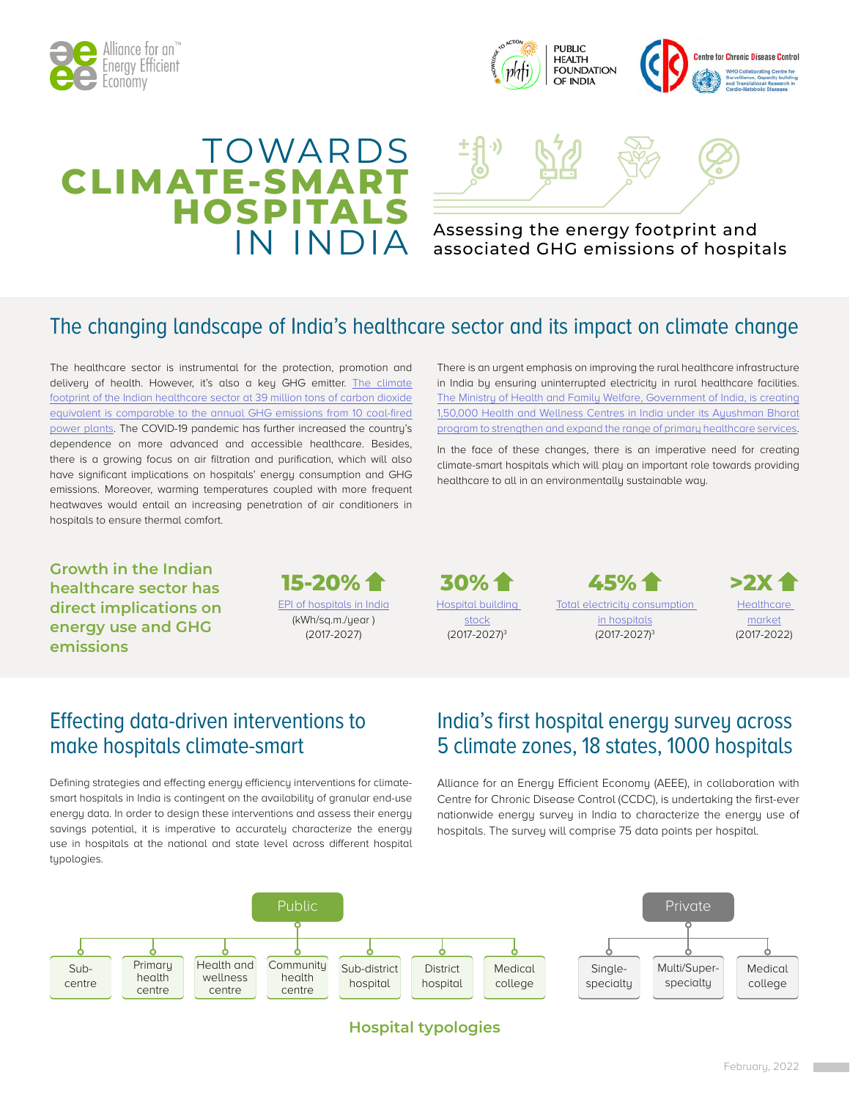



## TOWARDS **CLIMATE-SI HOSPITALS**



# IN INDIA Assessing the energy footprint and<br>IN INDIA associated GHG emissions of hospitals

## The changing landscape of India's healthcare sector and its impact on climate change

The healthcare sector is instrumental for the protection, promotion and delivery of health. However, it's also a key GHG emitter. The climate [footprint of the Indian healthcare sector at 39 million tons of carbon dioxide](https://noharm-global.org/documents/health-care-climate-footprint-report) [equivalent is comparable to the annual GHG emissions from 10 coal-fired](https://noharm-global.org/documents/health-care-climate-footprint-report) [power plants.](https://noharm-global.org/documents/health-care-climate-footprint-report) The COVID-19 pandemic has further increased the country's dependence on more advanced and accessible healthcare. Besides, there is a growing focus on air filtration and purification, which will also have significant implications on hospitals' energy consumption and GHG emissions. Moreover, warming temperatures coupled with more frequent heatwaves would entail an increasing penetration of air conditioners in hospitals to ensure thermal comfort.

There is an urgent emphasis on improving the rural healthcare infrastructure in India by ensuring uninterrupted electricity in rural healthcare facilities. [The Ministry of Health and Family Welfare, Government of India, is creating](https://ab-hwc.nhp.gov.in/) [1,50,000 Health and Wellness Centres in India under its Ayushman Bharat](https://ab-hwc.nhp.gov.in/) [program to strengthen and expand the range of primary healthcare services](https://ab-hwc.nhp.gov.in/).

In the face of these changes, there is an imperative need for creating climate-smart hospitals which will play an important role towards providing healthcare to all in an environmentally sustainable way.

**Growth in the Indian healthcare sector has direct implications on energy use and GHG emissions**



[Hospital building](https://doi.org/10.1080/09613218.2018.1515304)  [stock](https://doi.org/10.1080/09613218.2018.1515304) (2017-2027)3 **30%**

[Total electricity consumption](https://doi.org/10.1080/09613218.2018.1515304)  [in hospitals](https://doi.org/10.1080/09613218.2018.1515304) (2017-2027)3 **45%**



[market](https://www.ibef.org/industry/healthcare-presentation) (2017-2022)

## Effecting data-driven interventions to make hospitals climate-smart

Defining strategies and effecting energy efficiency interventions for climatesmart hospitals in India is contingent on the availability of granular end-use energy data. In order to design these interventions and assess their energy savings potential, it is imperative to accurately characterize the energy use in hospitals at the national and state level across different hospital tupologies.

## India's first hospital energy survey across 5 climate zones, 18 states, 1000 hospitals

Alliance for an Energy Efficient Economy (AEEE), in collaboration with Centre for Chronic Disease Control (CCDC), is undertaking the first-ever nationwide energy survey in India to characterize the energy use of hospitals. The survey will comprise 75 data points per hospital.



## **Hospital typologies**